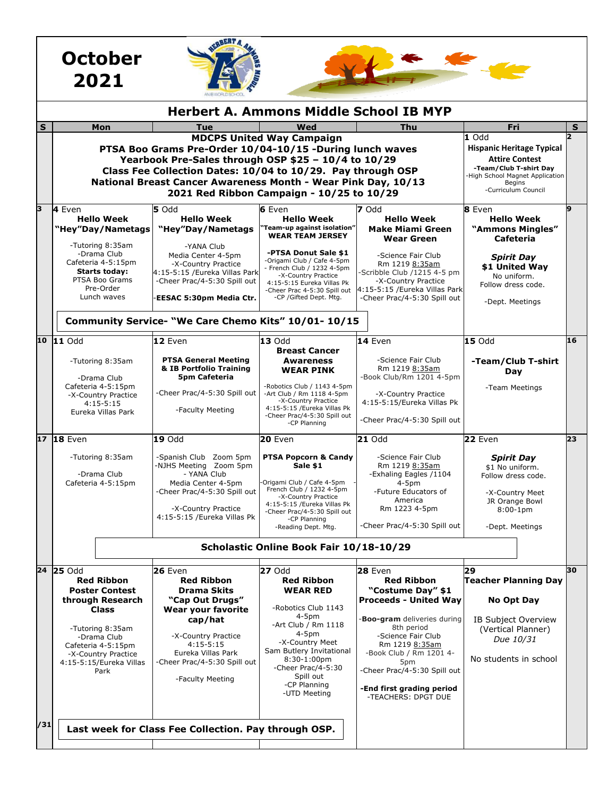|                                               | <b>October</b><br>2021                                                                                                                                                                                                                                                                                                                                                                                                                                                                                     |                                                                                                                                                                                                                        |                                                                                                                                                                                                                                                                 |                                                                                                                                                                                                                                                                                                           |                                                                                                                                           |    |
|-----------------------------------------------|------------------------------------------------------------------------------------------------------------------------------------------------------------------------------------------------------------------------------------------------------------------------------------------------------------------------------------------------------------------------------------------------------------------------------------------------------------------------------------------------------------|------------------------------------------------------------------------------------------------------------------------------------------------------------------------------------------------------------------------|-----------------------------------------------------------------------------------------------------------------------------------------------------------------------------------------------------------------------------------------------------------------|-----------------------------------------------------------------------------------------------------------------------------------------------------------------------------------------------------------------------------------------------------------------------------------------------------------|-------------------------------------------------------------------------------------------------------------------------------------------|----|
| <b>Herbert A. Ammons Middle School IB MYP</b> |                                                                                                                                                                                                                                                                                                                                                                                                                                                                                                            |                                                                                                                                                                                                                        |                                                                                                                                                                                                                                                                 |                                                                                                                                                                                                                                                                                                           |                                                                                                                                           |    |
| S                                             | Mon                                                                                                                                                                                                                                                                                                                                                                                                                                                                                                        | Tue                                                                                                                                                                                                                    | Wed                                                                                                                                                                                                                                                             | Thu                                                                                                                                                                                                                                                                                                       | Fri                                                                                                                                       | S  |
|                                               | <b>MDCPS United Way Campaign</b><br>1 Odd<br><b>Hispanic Heritage Typical</b><br>PTSA Boo Grams Pre-Order 10/04-10/15 -During lunch waves<br>Yearbook Pre-Sales through OSP \$25 - 10/4 to 10/29<br><b>Attire Contest</b><br>-Team/Club T-shirt Day<br>Class Fee Collection Dates: 10/04 to 10/29. Pay through OSP<br>High School Magnet Application<br>National Breast Cancer Awareness Month - Wear Pink Day, 10/13<br><b>Begins</b><br>-Curriculum Council<br>2021 Red Ribbon Campaign - 10/25 to 10/29 |                                                                                                                                                                                                                        |                                                                                                                                                                                                                                                                 |                                                                                                                                                                                                                                                                                                           |                                                                                                                                           |    |
|                                               | 4 Even<br><b>Hello Week</b><br>"Hey"Day/Nametags                                                                                                                                                                                                                                                                                                                                                                                                                                                           | 5 Odd<br><b>Hello Week</b><br>"Hey"Day/Nametags                                                                                                                                                                        | 6 Even<br><b>Hello Week</b><br>'Team-up against isolation"<br><b>WEAR TEAM JERSEY</b>                                                                                                                                                                           | 7 Odd<br><b>Hello Week</b><br><b>Make Miami Green</b><br><b>Wear Green</b>                                                                                                                                                                                                                                | 8 Even<br><b>Hello Week</b><br>"Ammons Mingles"<br><b>Cafeteria</b>                                                                       | q  |
|                                               | -Tutoring 8:35am<br>-Drama Club<br>Cafeteria 4-5:15pm<br><b>Starts today:</b><br>PTSA Boo Grams<br>Pre-Order<br>Lunch waves                                                                                                                                                                                                                                                                                                                                                                                | -YANA Club<br>Media Center 4-5pm<br>-X-Country Practice<br>4:15-5:15 /Eureka Villas Park<br>-Cheer Prac/4-5:30 Spill out<br>EESAC 5:30pm Media Ctr.                                                                    | -PTSA Donut Sale \$1<br>-Origami Club / Cafe 4-5pm<br>- French Club / 1232 4-5pm<br>-X-Country Practice<br>4:15-5:15 Eureka Villas Pk<br>-Cheer Prac 4-5:30 Spill out<br>-CP /Gifted Dept. Mtg.                                                                 | -Science Fair Club<br>Rm 1219 8:35am<br>-Scribble Club /1215 4-5 pm<br>-X-Country Practice<br>4:15-5:15 / Eureka Villas Park<br>-Cheer Prac/4-5:30 Spill out                                                                                                                                              | <b>Spirit Day</b><br>\$1 United Wav<br>No uniform.<br>Follow dress code.<br>-Dept. Meetings                                               |    |
|                                               |                                                                                                                                                                                                                                                                                                                                                                                                                                                                                                            | Community Service- "We Care Chemo Kits" 10/01- 10/15                                                                                                                                                                   |                                                                                                                                                                                                                                                                 |                                                                                                                                                                                                                                                                                                           |                                                                                                                                           |    |
|                                               | 10 11 Odd<br>-Tutoring 8:35am                                                                                                                                                                                                                                                                                                                                                                                                                                                                              | 12 Even<br><b>PTSA General Meeting</b>                                                                                                                                                                                 | 13 Odd<br><b>Breast Cancer</b><br>Awareness                                                                                                                                                                                                                     | 14 Even<br>-Science Fair Club                                                                                                                                                                                                                                                                             | <b>15 Odd</b><br>-Team/Club T-shirt                                                                                                       | 16 |
|                                               | -Drama Club<br>Cafeteria 4-5:15pm<br>-X-Country Practice<br>$4:15-5:15$<br>Eureka Villas Park                                                                                                                                                                                                                                                                                                                                                                                                              | & IB Portfolio Training<br>5pm Cafeteria<br>-Cheer Prac/4-5:30 Spill out<br>-Faculty Meeting                                                                                                                           | <b>WEAR PINK</b><br>-Robotics Club / 1143 4-5pm<br>-Art Club / Rm 1118 4-5pm<br>-X-Country Practice<br>4:15-5:15 / Eureka Villas Pk<br>-Cheer Prac/4-5:30 Spill out<br>-CP Planning                                                                             | Rm 1219 8:35am<br>-Book Club/Rm 1201 4-5pm<br>-X-Country Practice<br>4:15-5:15/Eureka Villas Pk<br>-Cheer Prac/4-5:30 Spill out                                                                                                                                                                           | Day<br>-Team Meetings                                                                                                                     |    |
|                                               | 17 18 Even                                                                                                                                                                                                                                                                                                                                                                                                                                                                                                 | <b>19 Odd</b>                                                                                                                                                                                                          | <b>20 Even</b>                                                                                                                                                                                                                                                  | <b>21 Odd</b>                                                                                                                                                                                                                                                                                             | 22 Even                                                                                                                                   | 23 |
|                                               | -Tutoring 8:35am<br>-Drama Club<br>Cafeteria 4-5:15pm                                                                                                                                                                                                                                                                                                                                                                                                                                                      | -Spanish Club Zoom 5pm<br>-NJHS Meeting Zoom 5pm<br>- YANA Club<br>Media Center 4-5pm<br>Cheer Prac/4-5:30 Spill out<br>-X-Country Practice<br>4:15-5:15 / Eureka Villas Pk                                            | <b>PTSA Popcorn &amp; Candy</b><br>Sale \$1<br>-Origami Club / Cafe 4-5pm<br>French Club / 1232 4-5pm<br>-X-Country Practice<br>4:15-5:15 /Eureka Villas Pk<br>-Cheer Prac/4-5:30 Spill out<br>-CP Planning<br>-Reading Dept. Mtg.                              | -Science Fair Club<br>Rm 1219 8:35am<br>-Exhaling Eagles /1104<br>$4-5pm$<br>Future Educators of<br>America<br>Rm 1223 4-5pm<br>-Cheer Prac/4-5:30 Spill out                                                                                                                                              | <b>Spirit Day</b><br>\$1 No uniform.<br>Follow dress code.<br>-X-Country Meet<br>JR Orange Bowl<br>$8:00-1$ pm<br>-Dept. Meetings         |    |
|                                               | Scholastic Online Book Fair 10/18-10/29                                                                                                                                                                                                                                                                                                                                                                                                                                                                    |                                                                                                                                                                                                                        |                                                                                                                                                                                                                                                                 |                                                                                                                                                                                                                                                                                                           |                                                                                                                                           |    |
|                                               | 24 25 Odd<br><b>Red Ribbon</b><br><b>Poster Contest</b><br>through Research<br><b>Class</b><br>-Tutoring 8:35am<br>-Drama Club<br>Cafeteria 4-5:15pm<br>-X-Country Practice<br>4:15-5:15/Eureka Villas<br>Park                                                                                                                                                                                                                                                                                             | 26 Even<br><b>Red Ribbon</b><br><b>Drama Skits</b><br>"Cap Out Drugs"<br>Wear your favorite<br>cap/hat<br>-X-Country Practice<br>$4:15-5:15$<br>Eureka Villas Park<br>-Cheer Prac/4-5:30 Spill out<br>-Faculty Meeting | <b>27 Odd</b><br><b>Red Ribbon</b><br><b>WEAR RED</b><br>-Robotics Club 1143<br>$4-5pm$<br>-Art Club / Rm $1118$<br>$4-5pm$<br>-X-Country Meet<br>Sam Butlery Invitational<br>$8:30-1:00$ pm<br>-Cheer Prac/4-5:30<br>Spill out<br>-CP Planning<br>-UTD Meeting | <b>28 Even</b><br><b>Red Ribbon</b><br>"Costume Day" \$1<br><b>Proceeds - United Wav</b><br><b>Boo-gram</b> deliveries during<br>8th period<br>-Science Fair Club<br>Rm 1219 8:35am<br>-Book Club / Rm 1201 4-<br>5pm<br>-Cheer Prac/4-5:30 Spill out<br>-End first grading period<br>-TEACHERS: DPGT DUE | 29<br><b>Teacher Planning Day</b><br>No Opt Day<br><b>IB Subject Overview</b><br>(Vertical Planner)<br>Due 10/31<br>No students in school | 30 |
| /31                                           |                                                                                                                                                                                                                                                                                                                                                                                                                                                                                                            | Last week for Class Fee Collection. Pay through OSP.                                                                                                                                                                   |                                                                                                                                                                                                                                                                 |                                                                                                                                                                                                                                                                                                           |                                                                                                                                           |    |